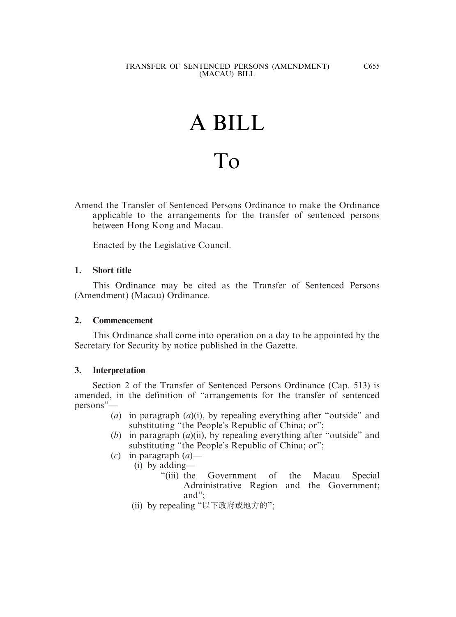# A BILL To

Amend the Transfer of Sentenced Persons Ordinance to make the Ordinance applicable to the arrangements for the transfer of sentenced persons between Hong Kong and Macau.

Enacted by the Legislative Council.

### **1. Short title**

This Ordinance may be cited as the Transfer of Sentenced Persons (Amendment) (Macau) Ordinance.

#### **2. Commencement**

This Ordinance shall come into operation on a day to be appointed by the Secretary for Security by notice published in the Gazette.

#### **3. Interpretation**

Section 2 of the Transfer of Sentenced Persons Ordinance (Cap. 513) is amended, in the definition of "arrangements for the transfer of sentenced persons"—

- (*a*) in paragraph (*a*)(i), by repealing everything after "outside" and substituting "the People's Republic of China; or";
- (*b*) in paragraph (*a*)(ii), by repealing everything after "outside" and substituting "the People's Republic of China; or";
- (*c*) in paragraph (*a*)—
	- (i) by adding—
		- "(iii) the Government of the Macau Special Administrative Region and the Government; and";
	- (ii) by repealing "以下政府或地方的";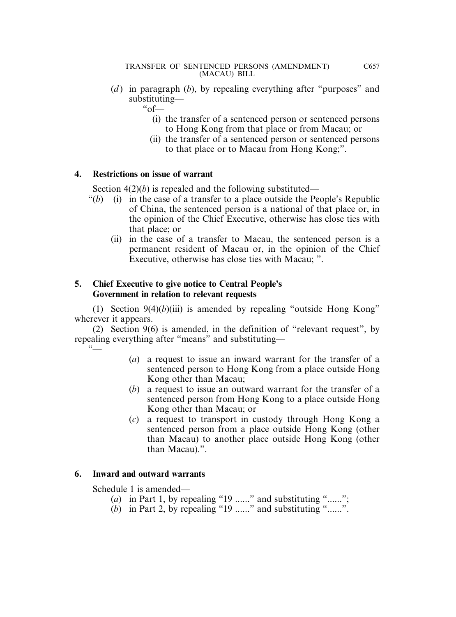(*d*) in paragraph (*b*), by repealing everything after "purposes" and substituting—

 $\degree$  of —

- (i) the transfer of a sentenced person or sentenced persons to Hong Kong from that place or from Macau; or
- (ii) the transfer of a sentenced person or sentenced persons to that place or to Macau from Hong Kong;".

## **4. Restrictions on issue of warrant**

Section 4(2)(*b*) is repealed and the following substituted—

- " $(b)$  (i) in the case of a transfer to a place outside the People's Republic of China, the sentenced person is a national of that place or, in the opinion of the Chief Executive, otherwise has close ties with that place; or
	- (ii) in the case of a transfer to Macau, the sentenced person is a permanent resident of Macau or, in the opinion of the Chief Executive, otherwise has close ties with Macau; ".

## **5. Chief Executive to give notice to Central People's Government in relation to relevant requests**

(1) Section  $9(4)(b)(iii)$  is amended by repealing "outside Hong Kong" wherever it appears.

(2) Section 9(6) is amended, in the definition of "relevant request", by repealing everything after "means" and substituting—  $\tilde{\ }$ 

- (*a*) a request to issue an inward warrant for the transfer of a sentenced person to Hong Kong from a place outside Hong Kong other than Macau;
- (*b*) a request to issue an outward warrant for the transfer of a sentenced person from Hong Kong to a place outside Hong Kong other than Macau; or
- (*c*) a request to transport in custody through Hong Kong a sentenced person from a place outside Hong Kong (other than Macau) to another place outside Hong Kong (other than Macau).".

## **6. Inward and outward warrants**

Schedule 1 is amended—

- (*a*) in Part 1, by repealing "19 ......" and substituting "......";
- $(b)$  in Part 2, by repealing "19 ......" and substituting "......".